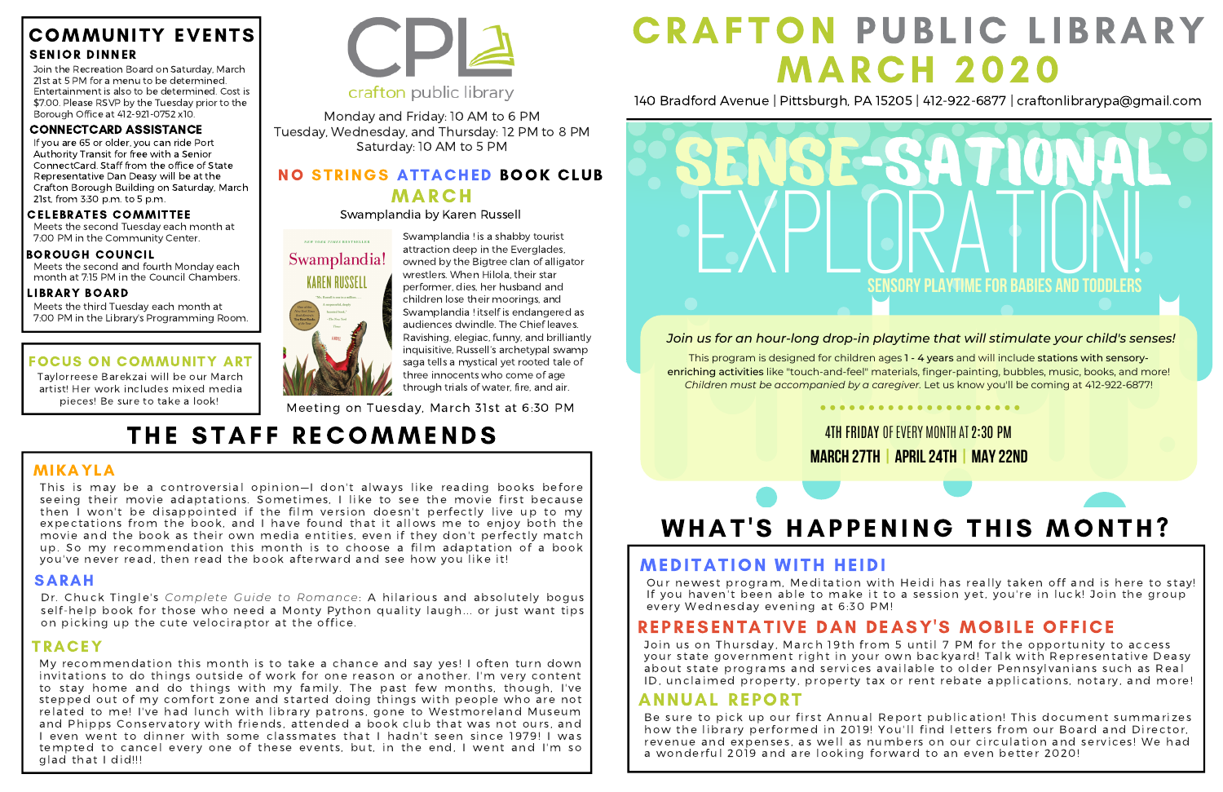My recommendation this month is to take a chance and say yes! I often turn down invitations to do things outside of work for one reason or another. I'm very content to stay home and do things with my family. The past few months, though, I've stepped out of my comfort zone and started doing things with people who are not related to me! I've had lunch with library patrons, gone to Westmoreland Museum and Phipps Conservatory with friends, attended a book club that was not ours, and I even went to dinner with some classmates that I hadn't seen since 1979! I was tempted to cancel every one of these events, but, in the end, I went and I'm so glad that I did!!!

### **CRAFTON PUBLIC LIBRARY** MARCH 2020

#### NO STRINGS ATTACHED BOOK CLUB **MARCH**

140 Bradford Avenue | Pittsburgh, PA 15205 | 412-922-6877 | craftonlibrarypa@gmail.com

#### COMMUNITY EVENTS SENIOR DINNER

Join the Recreation Board on Saturday, March 21st at 5 PM for a menu to be determined. Entertainment is also to be determined. Cost is \$7.00. Please RSVP by the Tuesday prior to the Borough Office at 412-921-0752 x10.

#### FOCUS ON COMMUNITY ART

Be sure to pick up our first Annual Report publication! This document summarizes how the library performed in 2019! You'll find letters from our Board and Director, revenue and expenses, as well as numbers on our circulation and services! We had a wonderful 2019 and are looking forward to an even better 2020!

Taylorreese Barekzai will be our March artist! Her work includes mixed media pieces! Be sure to take a look!



#### crafton public library

Monday and Friday: 10 AM to 6 PM Tuesday, Wednesday, and Thursday: 12 PM to 8 PM Saturday: 10 AM to 5 PM

Swamplandia by Karen Russell

# NEW YORK TIMES BESTSELLER Swamplandia! **KAREN RUSSELL**

#### ANNUAL REPORT

Our newest program, Meditation with Heidi has really taken off and is here to stay! If you haven't been able to make it to a session yet, you're in luck! Join the group every Wednesday evening at 6:30 PM!

#### REPRESENTATIVE DAN DEASY'S MOBILE OFFICE

Join us on Thursday, March 19th from 5 until 7 PM for the opportunity to access your state government right in your own backyard! Talk with Representative Deasy about state programs and services available to older Pennsylvanians such as Real ID, unclaimed property, property tax or rent rebate applications, notary, and more!

Swamplandia ! is a shabby tourist attraction deep in the Everglades, owned by the Bigtree clan of alligator wrestlers. When Hilola, their star performer, dies, her husband and children lose their moorings, and Swamplandia ! itself is endangered as audiences dwindle. The Chief leaves. Ravishing, elegiac, funny, and brilliantly inquisitive, Russell's archetypal swamp saga tells a mystical yet rooted tale of three innocents who come of age through trials of water, fire, and air.

Meeting on Tuesday, March 31st at 6:30 PM

### THE STAFF RECOMMENDS

#### **4TH FRIDAY OF FVERY MONTH AT 2:30 PM** march 27th | April24th | May22nd

## WHAT'S HAPPENING THIS MONTH?

#### **MEDITATION WITH HEIDI**

#### MIKAYLA

This is may be a controversial opinion—I don't always like reading books before seeing their movie adaptations. Sometimes, I like to see the movie first because then I won't be disappointed if the film version doesn't perfectly live up to my expectations from the book, and I have found that it allows me to enjoy both the movie and the book as their own media entities, even if they don't perfectly match up. So my recommendation this month is to choose a film adaptation of a book you've never read, then read the book afterward and see how you like it!

#### SARAH

Dr. Chuck Tingle's *Complete Guide to Romance*: A hilarious and absolutely bogus self-help book for those who need a Monty Python quality laugh... or just want tips on picking up the cute velociraptor at the office.

#### TRACEY

If you are 65 or older, you can ride Port Authority Transit for free with a Senior ConnectCard. Staff from the office of State Representative Dan Deasy will be at the Crafton Borough Building on Saturday, March 21st, from 3:30 p.m. to 5 p.m.

#### CONNECTCARD ASSISTANCE

Meets the third Tuesday each month at 7:00 PM in the Library's Programming Room.

#### LIBRARY BOARD

Meets the second Tuesday each month at 7:00 PM in the Community Center.

#### CELEBRATES COMMITTEE

Meets the second and fourth Monday each month at 7:15 PM in the Council Chambers.

#### BOROUGH COUNCIL

This program is designed for children ages 1 - 4 years and will include stations with sensoryenriching activities like "touch-and-feel" materials, finger-painting, bubbles, music, books, and more! *Children must be accompanied by a caregiver.* Let us know you'll be coming at 412-922-6877!



#### *Join us for an hour-long drop-in playtime that will stimulate your child's senses!*